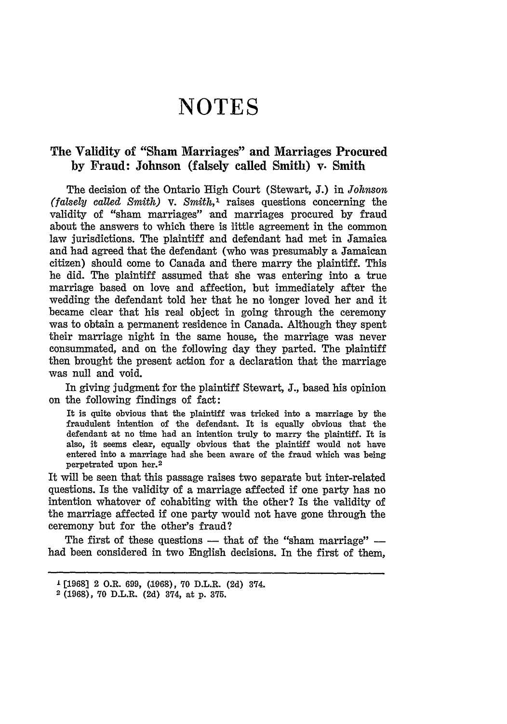## **NOTES**

## The Validity of "Sham Marriages" and Marriages Procured **by** Fraud: Johnson (falsely called Smith) v. Smith

The decision of the Ontario High Court (Stewart, **J.)** in *Johnson (falsely called Smith) V. Smith,1* raises questions concerning the validity of "sham marriages" and marriages procured by fraud about the answers to which there is little agreement in the common law jurisdictions. The plaintiff and defendant had met in Jamaica and had agreed that the defendant (who was presumably a Jamaican citizen) should come to Canada and there marry the plaintiff. This he did. The plaintiff assumed that she was entering into a true marriage based on love and affection, but immediately after the wedding the defendant told her that he no longer loved her and it became clear that his real object in going through the ceremony was to obtain a permanent residence in Canada. Although they spent their marriage night in the same house, the marriage was never consummated, and on the following day they parted. The plaintiff then brought the present action for a declaration that the marriage was null and void.

In giving judgment for the plaintiff Stewart, J., based his opinion on the following findings of fact:

It is quite obvious that the plaintiff was tricked into a marriage by the fraudulent intention of the defendant. It is equally obvious that the defendant at no time had an intention truly to marry the plaintiff. It is also, it seems clear, equally obvious that the plaintiff would not have entered into a marriage had she been aware of the fraud which was being perpetrated upon her.2

It will be seen that this passage raises two separate but inter-related questions. Is the validity of a marriage affected if one party has no intention whatever of cohabiting with the other? Is the validity of the marriage affected if one party would not have gone through the ceremony but for the other's fraud?

The first of these questions **-** that of the "sham marriage"  had been considered in two English decisions. In the first of them,

l [1968) 2 O.R. 699, **(1968),** 70 D.L.R. (2d) 374.

<sup>2</sup> **(1968),** 70 D.L.R. (2d) 374, at p. **375.**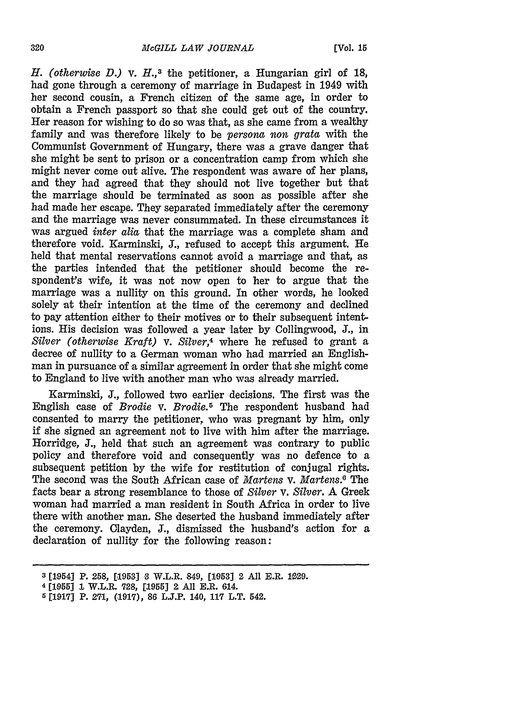*H. (otherwise D.) v. H.,8* the petitioner, a Hungarian girl of **18,** had gone through a ceremony of marriage in Budapest in 1949 with her second cousin, a French citizen of the same age, in order to obtain a French passport so that she could get out of the country. Her reason for wishing to do so was that, as she came from a wealthy family and was therefore likely to be *persona non grata* with the Communist Government of Hungary, there was a grave danger that she might be sent to prison or a concentration camp from which she might never come out alive. The respondent was aware of her plans, and they had agreed that they should not live together but that the marriage should be terminated as soon as possible after she had made her escape. They separated immediately after the ceremony and the marriage was never consummated. In these circumstances it was argued *inter alia* that the marriage was a complete sham and therefore void. Karminski, **J.,** refused to accept this argument. He held that mental reservations cannot avoid a marriage and that, as the parties intended that the petitioner should become the respondent's wife, it was not now open to her to argue that the marriage was a nullity on this ground. In other words, he looked solely at their intention at the time of the ceremony and declined to pay attention either to their motives or to their subsequent intentions. His decision was followed a year later by Collingwood, **J.,** in *Silver (otherwise Kraft) v. Silver,4* where he refused to grant a decree of nullity to a German woman who had married an Englishman in pursuance of a similar agreement in order that she might come to England to live with another man who was already married.

Karminski, **J.,** followed two earlier decisions. The first was the English case of *Brodie v. Brodie.5* The respondent husband had consented to marry the petitioner, who was pregnant by him, only if she signed an agreement not to live with him after the marriage. Horridge, **J.,** held that such an agreement was contrary to public policy and therefore void and consequently was no defence to a subsequent petition by the wife for restitution of conjugal rights. The second was the South African case of *Martens V. Martens.0* The facts bear a strong resemblance to those of *Silver v. Silver.* A Greek woman had married a man resident in South Africa in order to live there with another man. She deserted the husband immediately after the ceremony. Olayden, **J.,** dismissed the husband's action for a declaration of nullity for the following reason:

**<sup>3 [1954]</sup> P. 258, [1953] 3** W.L.R. 849, **[1053] 2 All E.R. 1029.**

**<sup>4 [1955] 1</sup> W.L.R. 728, [1955] 2 All E.R. 614.**

<sup>5</sup> **[1917] P. 271, (.1917), 86 L.J.P.** 140, **117** L.T. 542.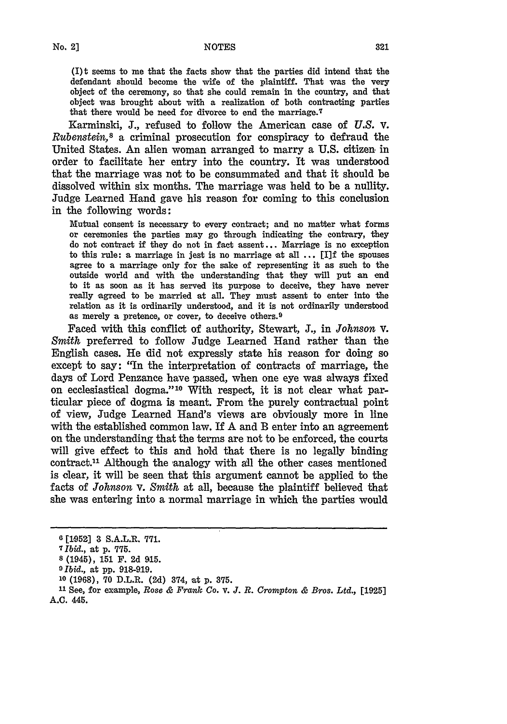(I) t seems to me that the facts show that the parties did intend that the defendant should become the wife of the plaintiff. That was the very object of the ceremony, so that she could remain in the country, and that object was brought about with a realization of both contracting parties that there would be need for divorce to end the marriage.7

Karminski, **J.,** refused to follow the American case of *U.S.* **V.** *Rubenstein,8* a criminal prosecution for conspiracy to defraud the United States. An alien woman arranged to marry a **U.S.** citizen, in order to facilitate her entry into the country. It was understood that the marriage was not to be consummated and that it should be dissolved within six months. The marriage was held to be a nullity. Judge Learned Hand gave his reason for coming to this conclusion in the following words:

Mutual consent is necessary to every contract; and no matter what forms or ceremonies the parties may go through indicating the contrary, they do not contract if they do not in fact assent... Marriage is no exception to this rule: a marriage in jest is no marriage at all **...** [I]f the spouses agree to a marriage only for the sake of representing it as such to the outside world and with the understanding that they will put **an** end to it as soon as it has served its purpose to deceive, they have never really agreed to be married at all. They must assent to enter into the relation as it is ordinarily understood, and it is not ordinarily understood as merely **a** pretence, or cover, to deceive others. <sup>9</sup>

Faced with this conflict of authority, Stewart, **J.,** in *Johnson V. Smith* preferred to follow Judge Learned Hand rather than the English cases. He did not expressly state his reason for doing so except to say: "In the interpretation of contracts of marriage, the days of Lord Penzance have passed, when one eye was always fixed on ecclesiastical dogma."10 With respect, it is not clear what particular piece of dogma is meant. From the purely contractual point of view, Judge Learned Hand's views are obviously more in line with the established common law. If A and B enter into an agreement on the understanding that the terms are not to be enforced, the courts will give effect to this and hold that there is no legally binding contract.<sup>11</sup> Although the analogy with all the other cases mentioned is clear, it will be seen that this argument cannot be applied to the facts of *Johnson v. Smith* at all, because the plaintiff believed that she was entering into a normal marriage in which the parties would

**<sup>6</sup> [1952] 3** S.A.L.R. **771.**

**<sup>7</sup>** *Ibid.,* at **p. 775.**

**<sup>8</sup>** (1945), **151** F. 2d **915.**

*<sup>0</sup> Ibid.,* at **pp. 918-919.**

**<sup>10</sup>**(1968), **70** D.L.R. **(2d)** 374, at **p. 375.**

**<sup>21</sup>** See, for example, *Rose & Frankc Co. V. J. R. Crompton & Bros. Ltd.,* **[1925] A.C.** 445.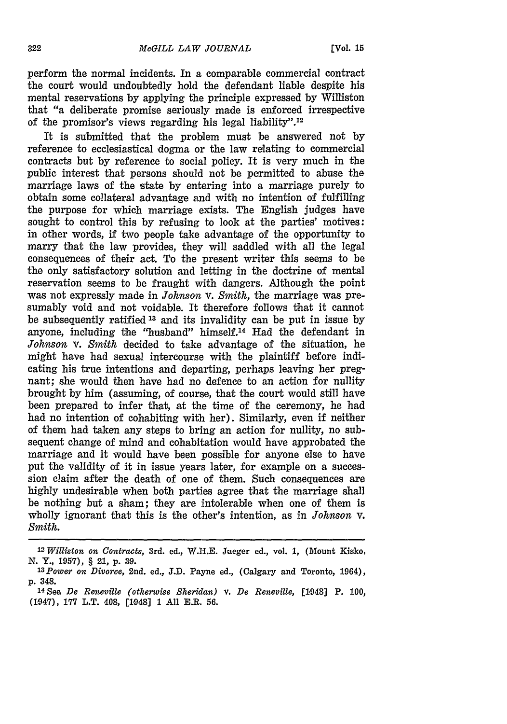perform the normal incidents. In a comparable commercial contract the court would undoubtedly **hold** the defendant liable despite his mental reservations **by** applying the principle expressed **by** Williston that "a deliberate promise seriously made is enforced irrespective of the promisor's views regarding his legal liability". <sup>12</sup>

It is submitted that the problem must be answered not **by** reference to ecclesiastical dogma or the law relating to commercial contracts but **by** reference to social policy. It is very much in the public interest that persons should not be permitted to abuse the marriage laws of the state **by** entering into a marriage purely to obtain some collateral advantage and with no intention of fulfilling the purpose for which marriage exists. The English judges have sought to control this **by** refusing to look at the parties' motives: in other words, if two people take advantage of the opportunity to marry that the law provides, they will saddled with all the legal consequences of their act. To the present writer this seems to be the only satisfactory solution and letting in the doctrine of mental reservation seems to be fraught with dangers. Although the point was not expressly made in *Johnson v. Smith,* the marriage was presumably void and not voidable. It therefore follows that it cannot be subsequently ratified **1 <sup>3</sup>**and its invalidity can be put in issue **by** anyone, including the "husband" himself.14 Had the defendant in *Johnson V. Smith* decided to take advantage of the situation, he might have had sexual intercourse with the plaintiff before indicating his true intentions and departing, perhaps leaving her pregnant; she would then have had no defence to an action for nullity brought **by** him (assuming, of course, that the court would still have been prepared to infer that, at the time of the ceremony, he had had no intention of cohabiting with her). Similarly, even **if** neither of them had taken any steps to bring an action for nullity, no subsequent change of mind and cohabitation would have approbated the marriage and it would have been possible for anyone else to have put the validity of it in issue years later, for example on a succession claim after the death of one of them. Such consequences are **highly** undesirable when both parties agree that the marriage shall be nothing but a sham; they are intolerable when one of them is wholly ignorant that this is the other's intention, as in *Johnson v. Smith.*

**<sup>12</sup>***Williston on Contracts,* **3rd. ed., W.H.E. Jaeger ed., vol. 1, (Mount Kisko, N. Y., 1957), § 21, p. 39.**

*<sup>13</sup>Power on Divorce,* **2nd. ed., J.D. Payne ed., (Calgary and Toronto, 1964), p. 348.**

**<sup>14</sup>See** *De Reneville (otherwise Sheridan) v. De Reneville,* **[1948] P. 100, (1047), 177 L.T. 408, [1.948] 1 All E.R. 56.**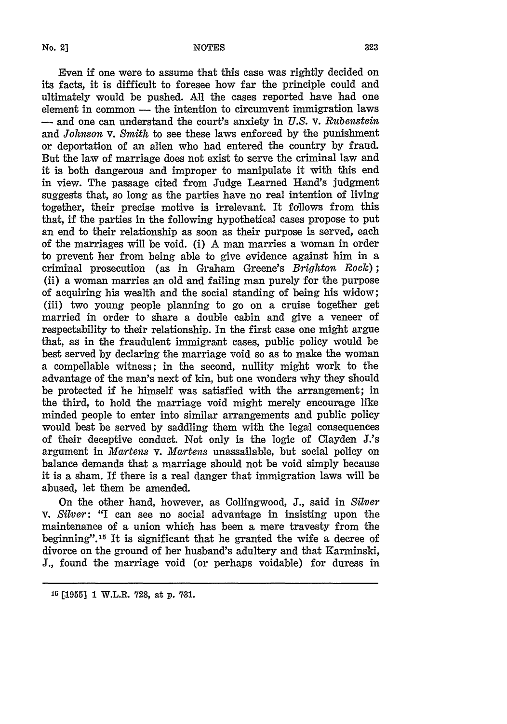Even if one were to assume that this case was rightly decided on its facts, it is difficult to foresee how far the principle could and ultimately would be pushed. All the cases reported have had one element in common  $-$  the intention to circumvent immigration laws **-** and one can understand the court's anxiety in *U.S.* **v.** *Rubenstein* and *Johnson* v. *Smith* to see these laws enforced **by** the punishment or deportation of an alien who had entered the country **by** fraud. But the law of marriage does not exist to serve the criminal law and it is both dangerous and improper to manipulate it with this end in view. The passage cited from Judge Learned Hand's judgment suggests that, so long as the parties have no real intention of living together, their precise motive is irrelevant. It follows from this that, if the parties in the following hypothetical cases propose to put an end to their relationship as soon as their purpose is served, each of the marriages will be void. (i) A man marries a woman in order to prevent her from being able to give evidence against him in a criminal prosecution (as in Graham Greene's *Brighton Rock));* **(ii)** a woman marries an old and failing man purely for the purpose of acquiring his wealth and the social standing of being his widow; (iii) two young people planning to go on a cruise together get married in order to share a double cabin and give a veneer of respectability to their relationship. In the first case one might argue that, as in the fraudulent immigrant cases, public policy would be best served by declaring the marriage void so as to make the woman a compellable witness; in the second, nullity might work to the advantage of the man's next of kin, but one wonders why they should be protected if he himself was satisfied with the arrangement; in the third, to hold the marriage void might merely encourage like minded people to enter into similar arrangements and public policy would best be served by saddling them with the legal consequences of their deceptive conduct. Not only is the logic of Clayden J.'s argument in *Martens v. Martens* unassailable, but social policy on balance demands that a marriage should not be void simply because it is a sham. If there is a real danger that immigration laws will be abused, let them be amended.

On the other hand, however, as Collingwood, J., said in *Silver V. Silver:* "I can see no social advantage in insisting upon the maintenance of a union which has been a mere travesty from the beginning". 15 It is significant that he granted the wife a decree of divorce on the ground of her husband's adultery and that Karminski, J., found the marriage void (or perhaps voidable) for duress in

**<sup>15 [.1955] 1</sup> W.L.R. 728, at p. 781.**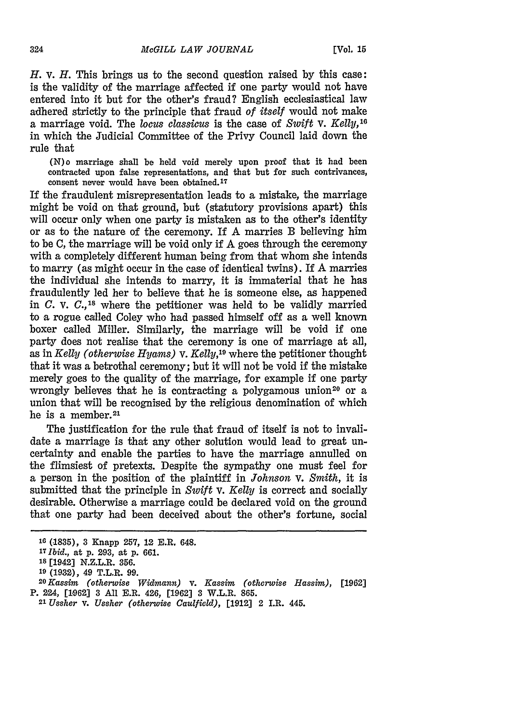*H.* **v.** *H.* This brings us to the second question raised **by** this case: is the validity of the marriage affected if one party would not have entered into it but for the other's fraud? English ecclesiastical law adhered strictly to the principle that fraud *of itself* would not make a marriage void. The *locus classicus* is the case of *Swift v. Kelly, <sup>16</sup>* in which the Judicial Committee of the Privy Council laid down the rule that

**(N)o** marriage shall be held void merely upon proof that it had been contracted **upon** false representations, **and** that but **for** such contrivances, consent never would have been obtained.<sup>17</sup>

If the fraudulent misrepresentation leads to a mistake, the marriage might be void on that ground, but (statutory provisions apart) this will occur only when one party is mistaken as to the other's identity or as to the nature of the ceremony. If A marries B believing him to be C, the marriage will be void only if A goes through the ceremony with a completely different human being from that whom she intends to marry (as might occur in the case of identical twins). If A marries the individual she intends to marry, it is immaterial that he has fraudulently led her to believe that he is someone else, as happened in *C.* v. *C.,'<sup>8</sup>*where the petitioner was held to be validly married to a rogue called Coley who had passed himself off as a well known boxer called Miller. Similarly, the marriage will be void if one party does not realise that the ceremony is one of marriage at all, as in *Kelly (otherwise Hyams) v. Kelly,19* where the petitioner thought that it was a betrothal ceremony; but it will not be void if the mistake merely goes to the quality of the marriage, for example if one party wrongly believes that he is contracting a polygamous union<sup>20</sup> or a union that will be recognised by the religious denomination of which he is a member. <sup>21</sup>

The justification for the rule that fraud of itself is not to invalidate a marriage is that any other solution would lead to great uncertainty and enable the parties to have the marriage annulled on the flimsiest of pretexts. Despite the sympathy one must feel for a person in the position of the plaintiff in *Johnson V. Smith,* it is submitted that the principle in *Swift v. Kelly* is correct and socially desirable. Otherwise a marriage could be declared void on the ground that one party had been deceived about the other's fortune, social

**<sup>16 (.1835), 3</sup> Knapp 257, 12 E.R.** 648.

*<sup>17</sup>Ibid.,* **at p. 293, at p. 661.**

**Is** [1942] **N.Z.L.R. 356.**

**<sup>19 (1932),</sup>** 49 T.L.R. **99.**

*<sup>2</sup> 0Kassim (otherwise Widmann)* v. *Kassim (otherwise Hassim),* **[1962] P.** 224, **[1962] 3 All** E.R. 426, **[1962] 3** W.L.R. **865.**

*<sup>21</sup>Ussher V. Ussher (otherwise Caulfield),* **[1912]** 2 **I.R.** 445.